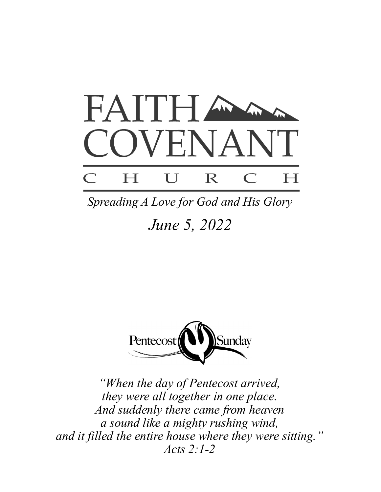

# *June 5, 2022 Spreading A Love for God and His Glory*



*"When the day of Pentecost arrived, they were all together in one place. And suddenly there came from heaven a sound like a mighty rushing wind, and it filled the entire house where they were sitting." Acts 2:1-2*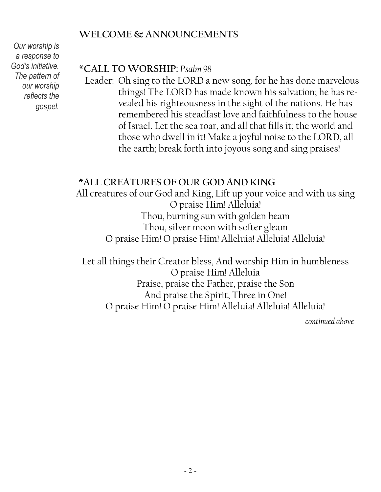## **WELCOME & ANNOUNCEMENTS**

*Our worship is a response to God's initiative. The pattern of our worship reflects the go*s*pel.*

# \***CALL TO WORSHIP:** *Psalm 98*

Leader: Oh sing to the LORD a new song, for he has done marvelous things! The LORD has made known his salvation; he has revealed his righteousness in the sight of the nations. He has remembered his steadfast love and faithfulness to the house of Israel. Let the sea roar, and all that fills it; the world and those who dwell in it! Make a joyful noise to the LORD, all the earth; break forth into joyous song and sing praises!

## **\*ALL CREATURES OF OUR GOD AND KING**

All creatures of our God and King, Lift up your voice and with us sing O praise Him! Alleluia! Thou, burning sun with golden beam Thou, silver moon with softer gleam O praise Him! O praise Him! Alleluia! Alleluia! Alleluia!

Let all things their Creator bless, And worship Him in humbleness O praise Him! Alleluia Praise, praise the Father, praise the Son And praise the Spirit, Three in One! O praise Him! O praise Him! Alleluia! Alleluia! Alleluia!

*continued above*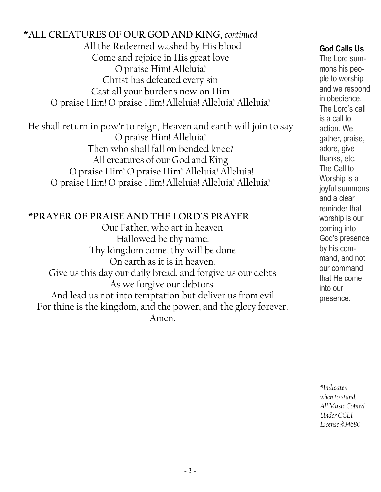**\*ALL CREATURES OF OUR GOD AND KING,** *continued* All the Redeemed washed by His blood Come and rejoice in His great love O praise Him! Alleluia! Christ has defeated every sin Cast all your burdens now on Him O praise Him! O praise Him! Alleluia! Alleluia! Alleluia!

He shall return in pow'r to reign, Heaven and earth will join to say O praise Him! Alleluia! Then who shall fall on bended knee? All creatures of our God and King O praise Him! O praise Him! Alleluia! Alleluia! O praise Him! O praise Him! Alleluia! Alleluia! Alleluia!

## **\*PRAYER OF PRAISE AND THE LORD'S PRAYER**

Our Father, who art in heaven Hallowed be thy name. Thy kingdom come, thy will be done On earth as it is in heaven. Give us this day our daily bread, and forgive us our debts As we forgive our debtors. And lead us not into temptation but deliver us from evil For thine is the kingdom, and the power, and the glory forever. Amen.

#### **God Calls Us**

The Lord summons his people to worship and we respond in obedience. The Lord's call is a call to action. We gather, praise, adore, give thanks, etc. The Call to Worship is a joyful summons and a clear reminder that worship is our coming into God's presence by his command, and not our command that He come into our presence.

*\*Indicates when to stand. All Music Copied Under CCLI License #34680*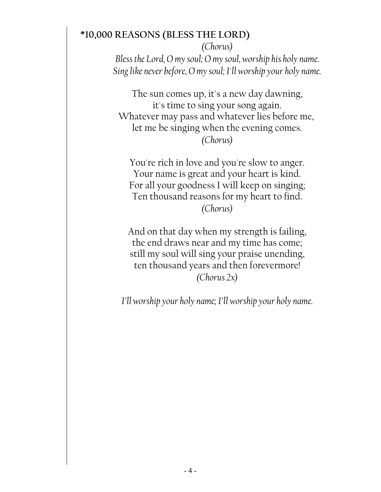## **\*10,000 REASONS (BLESS THE LORD)**

*(Chorus) Bless the Lord, O my soul; O my soul, worship his holy name. Sing like never before, O my soul; I'll worship your holy name.*

The sun comes up, it's a new day dawning, it's time to sing your song again. Whatever may pass and whatever lies before me, let me be singing when the evening comes. *(Chorus)*

You're rich in love and you're slow to anger. Your name is great and your heart is kind. For all your goodness I will keep on singing; Ten thousand reasons for my heart to find. *(Chorus)*

And on that day when my strength is failing, the end draws near and my time has come; still my soul will sing your praise unending, ten thousand years and then forevermore! *(Chorus 2x)*

*I'll worship your holy name; I'll worship your holy name.*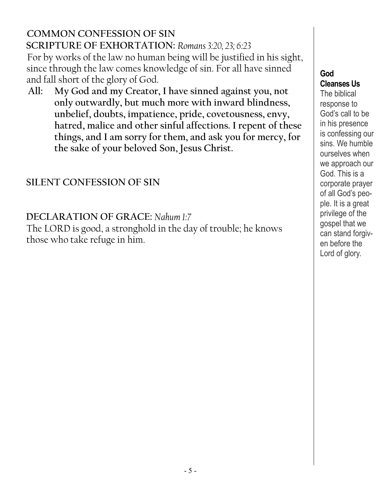# **COMMON CONFESSION OF SIN SCRIPTURE OF EXHORTATION:** *Romans 3:20, 23; 6:23*

For by works of the law no human being will be justified in his sight, since through the law comes knowledge of sin. For all have sinned and fall short of the glory of God.

**All: My God and my Creator, I have sinned against you, not only outwardly, but much more with inward blindness, unbelief, doubts, impatience, pride, covetousness, envy, hatred, malice and other sinful affections. I repent of these things, and I am sorry for them, and ask you for mercy, for the sake of your beloved Son, Jesus Christ.**

# **SILENT CONFESSION OF SIN**

# **DECLARATION OF GRACE:** *Nahum 1:7*

The LORD is good, a stronghold in the day of trouble; he knows those who take refuge in him.

#### **God Cleanses Us**

The biblical response to God's call to be in his presence is confessing our sins. We humble ourselves when we approach our God. This is a corporate prayer of all God's people. It is a great privilege of the gospel that we can stand forgiven before the Lord of glory.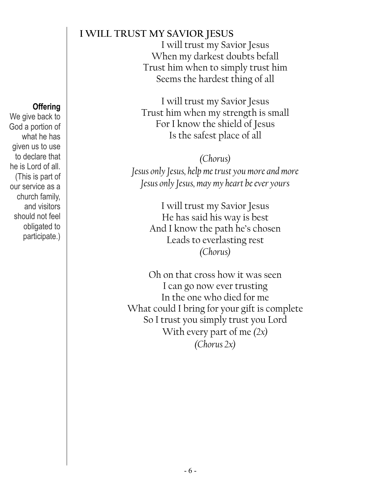## **I WILL TRUST MY SAVIOR JESUS**

I will trust my Savior Jesus When my darkest doubts befall Trust him when to simply trust him Seems the hardest thing of all

I will trust my Savior Jesus Trust him when my strength is small For I know the shield of Jesus Is the safest place of all

*(Chorus)*

*Jesus only Jesus, help me trust you more and more Jesus only Jesus, may my heart be ever yours*

> I will trust my Savior Jesus He has said his way is best And I know the path he's chosen Leads to everlasting rest *(Chorus)*

Oh on that cross how it was seen I can go now ever trusting In the one who died for me What could I bring for your gift is complete So I trust you simply trust you Lord With every part of me *(2x) (Chorus 2x)*

#### **Offering**

We give back to God a portion of what he has given us to use to declare that he is Lord of all. (This is part of our service as a church family, and visitors should not feel obligated to participate.)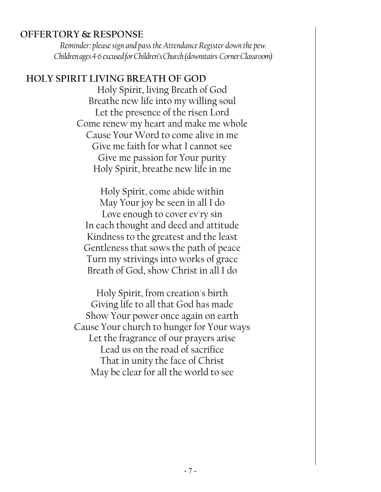#### **OFFERTORY & RESPONSE**

*Reminder: please sign and pass the Attendance Register down the pew. Children ages 4-6 excused for Children's Church (downstairs Corner Classroom)*

### **HOLY SPIRIT LIVING BREATH OF GOD**

Holy Spirit, living Breath of God Breathe new life into my willing soul Let the presence of the risen Lord Come renew my heart and make me whole Cause Your Word to come alive in me Give me faith for what I cannot see Give me passion for Your purity Holy Spirit, breathe new life in me

Holy Spirit, come abide within May Your joy be seen in all I do Love enough to cover ev'ry sin In each thought and deed and attitude Kindness to the greatest and the least Gentleness that sows the path of peace Turn my strivings into works of grace Breath of God, show Christ in all I do

Holy Spirit, from creation's birth Giving life to all that God has made Show Your power once again on earth Cause Your church to hunger for Your ways Let the fragrance of our prayers arise Lead us on the road of sacrifice That in unity the face of Christ May be clear for all the world to see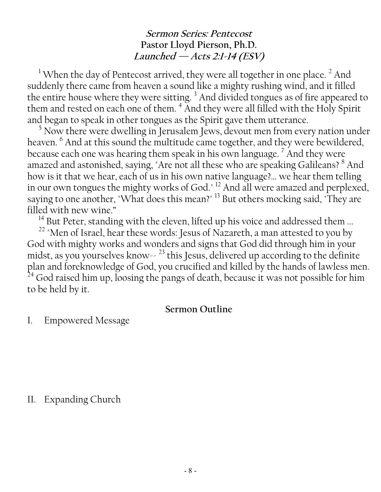### **Sermon Series: Pentecost Pastor Lloyd Pierson, Ph.D. Launched — Acts 2:1-14 (ESV)**

<sup>1</sup> When the day of Pentecost arrived, they were all together in one place.<sup>2</sup> And suddenly there came from heaven a sound like a mighty rushing wind, and it filled the entire house where they were sitting.<sup>3</sup> And divided tongues as of fire appeared to them and rested on each one of them. <sup>4</sup> And they were all filled with the Holy Spirit and began to speak in other tongues as the Spirit gave them utterance.

 $<sup>5</sup>$  Now there were dwelling in Jerusalem Jews, devout men from every nation under</sup> heaven. <sup>6</sup> And at this sound the multitude came together, and they were bewildered, because each one was hearing them speak in his own language.<sup>7</sup> And they were amazed and astonished, saying, "Are not all these who are speaking Galileans? <sup>8</sup> And how is it that we hear, each of us in his own native language?… we hear them telling in our own tongues the mighty works of God." <sup>12</sup> And all were amazed and perplexed, saying to one another, "What does this mean?" <sup>13</sup> But others mocking said, "They are filled with new wine."

<sup>14</sup> But Peter, standing with the eleven, lifted up his voice and addressed them ...

<sup>22</sup> "Men of Israel, hear these words: Jesus of Nazareth, a man attested to you by God with mighty works and wonders and signs that God did through him in your midst, as you yourselves know - <sup>23</sup> this Jesus, delivered up according to the definite plan and foreknowledge of God, you crucified and killed by the hands of lawless men.

 $24$  God raised him up, loosing the pangs of death, because it was not possible for him to be held by it.

#### **Sermon Outline**

I. Empowered Message

II. Expanding Church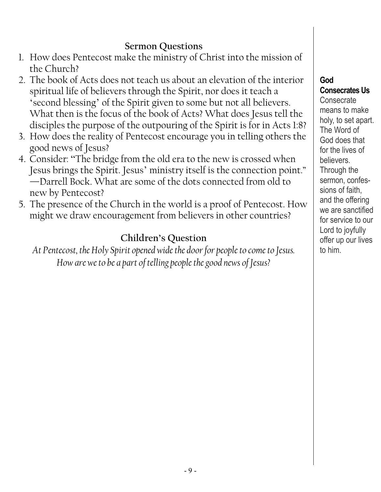## **Sermon Questions**

- 1. How does Pentecost make the ministry of Christ into the mission of the Church?
- 2. The book of Acts does not teach us about an elevation of the interior spiritual life of believers through the Spirit, nor does it teach a 'second blessing' of the Spirit given to some but not all believers. What then is the focus of the book of Acts? What does Jesus tell the disciples the purpose of the outpouring of the Spirit is for in Acts 1:8?
- 3. How does the reality of Pentecost encourage you in telling others the good news of Jesus?
- 4. Consider: "The bridge from the old era to the new is crossed when Jesus brings the Spirit. Jesus' ministry itself is the connection point." —Darrell Bock. What are some of the dots connected from old to new by Pentecost?
- 5. The presence of the Church in the world is a proof of Pentecost. How might we draw encouragement from believers in other countries?

# **Children's Question**

*At Pentecost, the Holy Spirit opened wide the door for people to come to Jesus. How are we to be a part of telling people the good news of Jesus?*

# **God**

#### **Consecrates Us Consecrate** means to make holy, to set apart. The Word of God does that for the lives of believers. Through the sermon, confessions of faith, and the offering we are sanctified for service to our Lord to joyfully offer up our lives to him.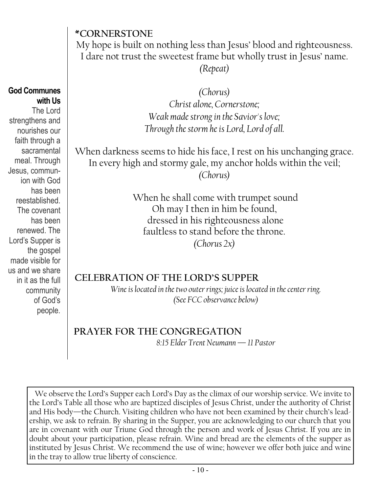# **\*CORNERSTONE**

My hope is built on nothing less than Jesus' blood and righteousness. I dare not trust the sweetest frame but wholly trust in Jesus' name.

*(Repeat)*

*(Chorus) Christ alone, Cornerstone; Weak made strong in the Savior's love; Through the storm he is Lord, Lord of all.*

When darkness seems to hide his face, I rest on his unchanging grace. In every high and stormy gale, my anchor holds within the veil; *(Chorus)*

> When he shall come with trumpet sound Oh may I then in him be found, dressed in his righteousness alone faultless to stand before the throne. *(Chorus 2x)*

#### **CELEBRATION OF THE LORD'S SUPPER**

*Wine is located in the two outer rings; juice is located in the center ring. (See FCC observance below)*

#### **PRAYER FOR THE CONGREGATION**

*8:15 Elder Trent Neumann — 11 Pastor*

We observe the Lord's Supper each Lord's Day as the climax of our worship service. We invite to the Lord's Table all those who are baptized disciples of Jesus Christ, under the authority of Christ and His body—the Church. Visiting children who have not been examined by their church's leadership, we ask to refrain. By sharing in the Supper, you are acknowledging to our church that you are in covenant with our Triune God through the person and work of Jesus Christ. If you are in doubt about your participation, please refrain. Wine and bread are the elements of the supper as instituted by Jesus Christ. We recommend the use of wine; however we offer both juice and wine in the tray to allow true liberty of conscience.

#### **God Communes with Us**

The Lord strengthens and nourishes our faith through a sacramental meal. Through Jesus, communion with God has been reestablished. The covenant has been renewed. The Lord's Supper is the gospel made visible for us and we share in it as the full community of God's people.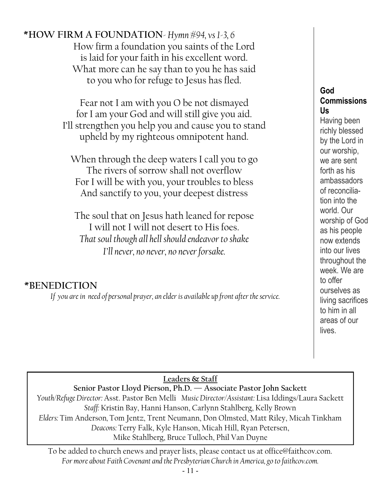**\*HOW FIRM A FOUNDATION***-Hymn #94, vs 1-3, 6* How firm a foundation you saints of the Lord is laid for your faith in his excellent word. What more can he say than to you he has said to you who for refuge to Jesus has fled.

> Fear not I am with you O be not dismayed for I am your God and will still give you aid. I'll strengthen you help you and cause you to stand upheld by my righteous omnipotent hand.

When through the deep waters I call you to go The rivers of sorrow shall not overflow For I will be with you, your troubles to bless And sanctify to you, your deepest distress

The soul that on Jesus hath leaned for repose I will not I will not desert to His foes. *That soul though all hell should endeavor to shake I'll never, no never, no never forsake.*

## **\*BENEDICTION**

*If you are in need of personal prayer, an elder is available up front after the service.*

#### **God Commissions Us**

Having been richly blessed by the Lord in our worship, we are sent forth as his ambassadors of reconciliation into the world. Our worship of God as his people now extends into our lives throughout the week. We are to offer ourselves as living sacrifices to him in all areas of our lives.

# **Leaders & Staff**

**Senior Pastor Lloyd Pierson, Ph.D. — Associate Pastor John Sackett** *Youth/Refuge Director:* Asst. Pastor Ben Melli *Music Director/Assistant:* Lisa Iddings/Laura Sackett *Staff:* Kristin Bay, Hanni Hanson, Carlynn Stahlberg, Kelly Brown *Elders:* Tim Anderson*,* Tom Jentz, Trent Neumann, Don Olmsted, Matt Riley, Micah Tinkham *Deacons:* Terry Falk, Kyle Hanson, Micah Hill, Ryan Petersen, Mike Stahlberg, Bruce Tulloch, Phil Van Duyne

To be added to church enews and prayer lists, please contact us at office@faithcov.com. *For more about Faith Covenant and the Presbyterian Church in America, go to faithcov.com.*